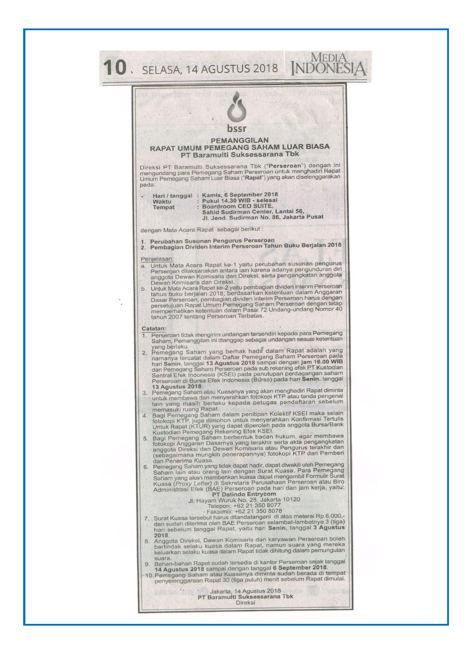